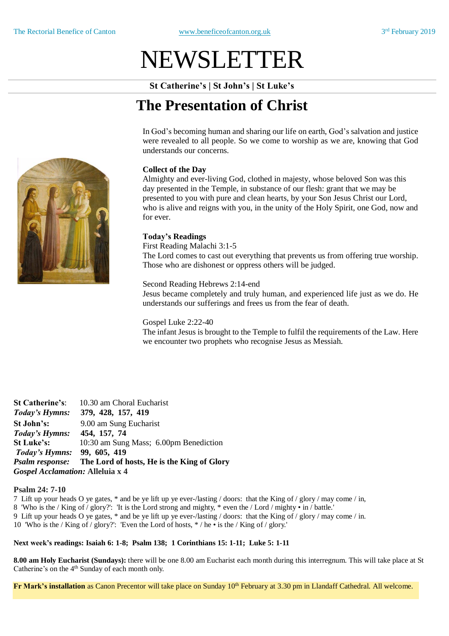# NEWSLETTER

**St Catherine's | St John's | St Luke's**

## **The Presentation of Christ**

In God's becoming human and sharing our life on earth, God's salvation and justice were revealed to all people. So we come to worship as we are, knowing that God understands our concerns.

### **Collect of the Day**

Almighty and ever-living God, clothed in majesty, whose beloved Son was this day presented in the Temple, in substance of our flesh: grant that we may be presented to you with pure and clean hearts, by your Son Jesus Christ our Lord, who is alive and reigns with you, in the unity of the Holy Spirit, one God, now and for ever.

#### **Today's Readings**

First Reading Malachi 3:1-5 The Lord comes to cast out everything that prevents us from offering true worship. Those who are dishonest or oppress others will be judged.

#### Second Reading Hebrews 2:14-end

Jesus became completely and truly human, and experienced life just as we do. He understands our sufferings and frees us from the fear of death.

#### Gospel Luke 2:22-40

The infant Jesus is brought to the Temple to fulfil the requirements of the Law. Here we encounter two prophets who recognise Jesus as Messiah.

**St Catherine's**: 10.30 am Choral Eucharist *Today's Hymns:* **379, 428, 157, 419 St John's:** 9.00 am Sung Eucharist *Today's Hymns:* **454, 157, 74 St Luke's:** 10:30 am Sung Mass; 6.00pm Benediction *Today's Hymns:* **99, 605, 419** *Psalm response:* **The Lord of hosts, He is the King of Glory** *Gospel Acclamation:* **Alleluia x 4**

#### **Psalm 24: 7-10**

7 Lift up your heads O ye gates, \* and be ye lift up ye ever-/lasting / doors: that the King of / glory / may come / in, 8 'Who is the / King of / glory?': 'It is the Lord strong and mighty, \* even the / Lord / mighty • in / battle.' 9 Lift up your heads O ye gates, \* and be ye lift up ye ever-/lasting / doors: that the King of / glory / may come / in. 10 'Who is the / King of / glory?': 'Even the Lord of hosts, \* / he • is the / King of / glory.'

#### **Next week's readings: Isaiah 6: 1-8; Psalm 138; 1 Corinthians 15: 1-11; Luke 5: 1-11**

**8.00 am Holy Eucharist (Sundays):** there will be one 8.00 am Eucharist each month during this interregnum. This will take place at St Catherine's on the 4<sup>th</sup> Sunday of each month only.

**Fr Mark's installation** as Canon Precentor will take place on Sunday 10<sup>th</sup> February at 3.30 pm in Llandaff Cathedral. All welcome.